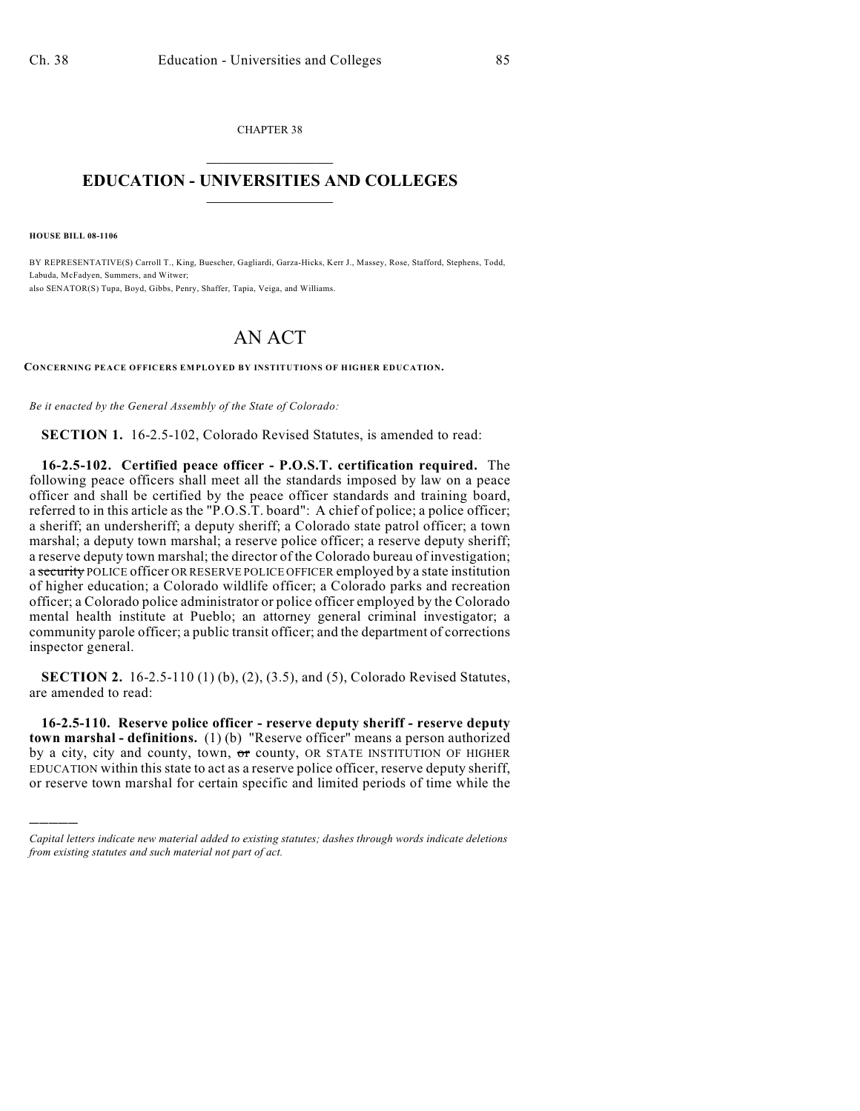CHAPTER 38  $\mathcal{L}_\text{max}$  . The set of the set of the set of the set of the set of the set of the set of the set of the set of the set of the set of the set of the set of the set of the set of the set of the set of the set of the set

## **EDUCATION - UNIVERSITIES AND COLLEGES**  $\_$

**HOUSE BILL 08-1106**

)))))

BY REPRESENTATIVE(S) Carroll T., King, Buescher, Gagliardi, Garza-Hicks, Kerr J., Massey, Rose, Stafford, Stephens, Todd, Labuda, McFadyen, Summers, and Witwer; also SENATOR(S) Tupa, Boyd, Gibbs, Penry, Shaffer, Tapia, Veiga, and Williams.

## AN ACT

**CONCERNING PEACE OFFICERS EMPLOYED BY INSTITUTIONS OF HIGHER EDUCATION.**

*Be it enacted by the General Assembly of the State of Colorado:*

**SECTION 1.** 16-2.5-102, Colorado Revised Statutes, is amended to read:

**16-2.5-102. Certified peace officer - P.O.S.T. certification required.** The following peace officers shall meet all the standards imposed by law on a peace officer and shall be certified by the peace officer standards and training board, referred to in this article as the "P.O.S.T. board": A chief of police; a police officer; a sheriff; an undersheriff; a deputy sheriff; a Colorado state patrol officer; a town marshal; a deputy town marshal; a reserve police officer; a reserve deputy sheriff; a reserve deputy town marshal; the director of the Colorado bureau of investigation; a security POLICE officer OR RESERVE POLICE OFFICER employed by a state institution of higher education; a Colorado wildlife officer; a Colorado parks and recreation officer; a Colorado police administrator or police officer employed by the Colorado mental health institute at Pueblo; an attorney general criminal investigator; a community parole officer; a public transit officer; and the department of corrections inspector general.

**SECTION 2.** 16-2.5-110 (1) (b), (2), (3.5), and (5), Colorado Revised Statutes, are amended to read:

**16-2.5-110. Reserve police officer - reserve deputy sheriff - reserve deputy town marshal - definitions.** (1) (b) "Reserve officer" means a person authorized by a city, city and county, town,  $\sigma$ r county, OR STATE INSTITUTION OF HIGHER EDUCATION within this state to act as a reserve police officer, reserve deputy sheriff, or reserve town marshal for certain specific and limited periods of time while the

*Capital letters indicate new material added to existing statutes; dashes through words indicate deletions from existing statutes and such material not part of act.*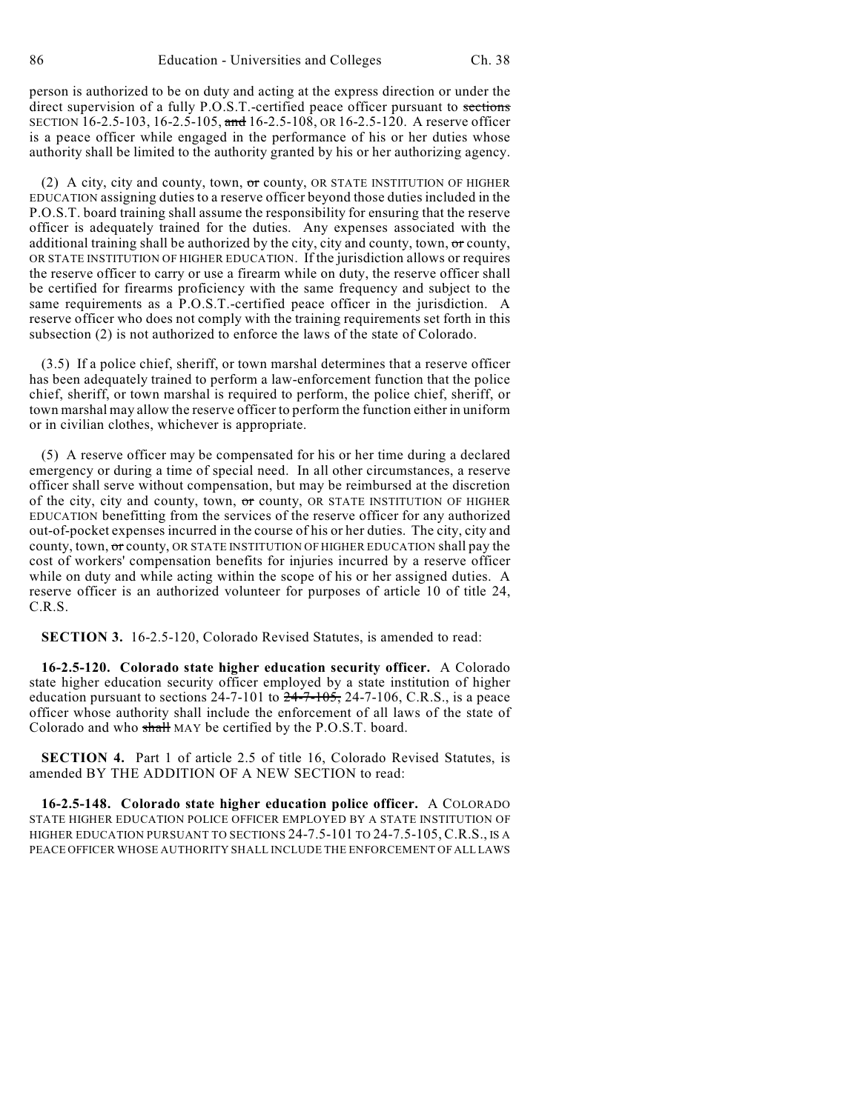person is authorized to be on duty and acting at the express direction or under the direct supervision of a fully P.O.S.T.-certified peace officer pursuant to sections SECTION  $16-2.5-103$ ,  $16-2.5-105$ , and  $16-2.5-108$ , OR  $16-2.5-120$ . A reserve officer is a peace officer while engaged in the performance of his or her duties whose authority shall be limited to the authority granted by his or her authorizing agency.

(2) A city, city and county, town, or county, OR STATE INSTITUTION OF HIGHER EDUCATION assigning duties to a reserve officer beyond those duties included in the P.O.S.T. board training shall assume the responsibility for ensuring that the reserve officer is adequately trained for the duties. Any expenses associated with the additional training shall be authorized by the city, city and county, town,  $\sigma r$  county, OR STATE INSTITUTION OF HIGHER EDUCATION. If the jurisdiction allows or requires the reserve officer to carry or use a firearm while on duty, the reserve officer shall be certified for firearms proficiency with the same frequency and subject to the same requirements as a P.O.S.T.-certified peace officer in the jurisdiction. A reserve officer who does not comply with the training requirements set forth in this subsection (2) is not authorized to enforce the laws of the state of Colorado.

(3.5) If a police chief, sheriff, or town marshal determines that a reserve officer has been adequately trained to perform a law-enforcement function that the police chief, sheriff, or town marshal is required to perform, the police chief, sheriff, or town marshal may allow the reserve officer to perform the function either in uniform or in civilian clothes, whichever is appropriate.

(5) A reserve officer may be compensated for his or her time during a declared emergency or during a time of special need. In all other circumstances, a reserve officer shall serve without compensation, but may be reimbursed at the discretion of the city, city and county, town,  $\sigma$ r county, OR STATE INSTITUTION OF HIGHER EDUCATION benefitting from the services of the reserve officer for any authorized out-of-pocket expenses incurred in the course of his or her duties. The city, city and county, town, or county, OR STATE INSTITUTION OF HIGHER EDUCATION shall pay the cost of workers' compensation benefits for injuries incurred by a reserve officer while on duty and while acting within the scope of his or her assigned duties. A reserve officer is an authorized volunteer for purposes of article 10 of title 24, C.R.S.

**SECTION 3.** 16-2.5-120, Colorado Revised Statutes, is amended to read:

**16-2.5-120. Colorado state higher education security officer.** A Colorado state higher education security officer employed by a state institution of higher education pursuant to sections  $24-7-101$  to  $24-7-105$ ,  $24-7-106$ , C.R.S., is a peace officer whose authority shall include the enforcement of all laws of the state of Colorado and who shall MAY be certified by the P.O.S.T. board.

**SECTION 4.** Part 1 of article 2.5 of title 16, Colorado Revised Statutes, is amended BY THE ADDITION OF A NEW SECTION to read:

**16-2.5-148. Colorado state higher education police officer.** A COLORADO STATE HIGHER EDUCATION POLICE OFFICER EMPLOYED BY A STATE INSTITUTION OF HIGHER EDUCATION PURSUANT TO SECTIONS 24-7.5-101 TO 24-7.5-105, C.R.S., IS A PEACE OFFICER WHOSE AUTHORITY SHALL INCLUDE THE ENFORCEMENT OF ALL LAWS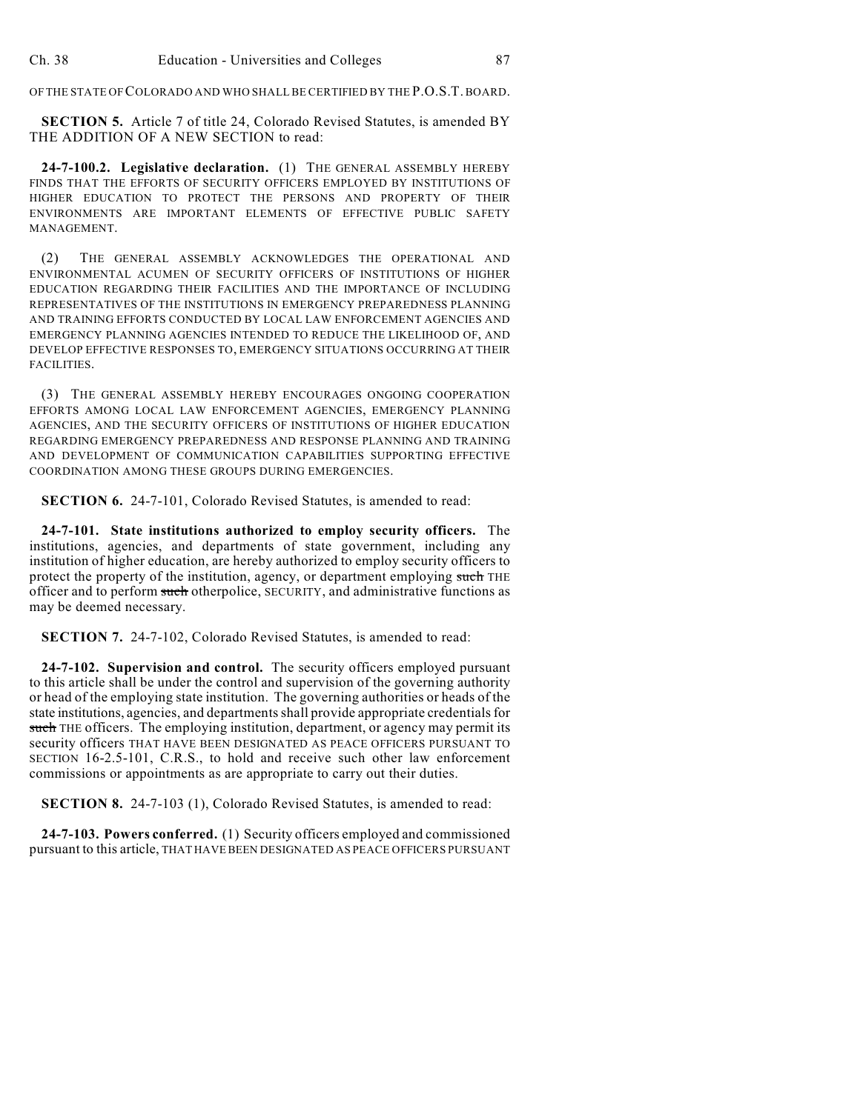OF THE STATE OF COLORADO AND WHO SHALL BE CERTIFIED BY THE P.O.S.T. BOARD.

**SECTION 5.** Article 7 of title 24, Colorado Revised Statutes, is amended BY THE ADDITION OF A NEW SECTION to read:

**24-7-100.2. Legislative declaration.** (1) THE GENERAL ASSEMBLY HEREBY FINDS THAT THE EFFORTS OF SECURITY OFFICERS EMPLOYED BY INSTITUTIONS OF HIGHER EDUCATION TO PROTECT THE PERSONS AND PROPERTY OF THEIR ENVIRONMENTS ARE IMPORTANT ELEMENTS OF EFFECTIVE PUBLIC SAFETY MANAGEMENT.

(2) THE GENERAL ASSEMBLY ACKNOWLEDGES THE OPERATIONAL AND ENVIRONMENTAL ACUMEN OF SECURITY OFFICERS OF INSTITUTIONS OF HIGHER EDUCATION REGARDING THEIR FACILITIES AND THE IMPORTANCE OF INCLUDING REPRESENTATIVES OF THE INSTITUTIONS IN EMERGENCY PREPAREDNESS PLANNING AND TRAINING EFFORTS CONDUCTED BY LOCAL LAW ENFORCEMENT AGENCIES AND EMERGENCY PLANNING AGENCIES INTENDED TO REDUCE THE LIKELIHOOD OF, AND DEVELOP EFFECTIVE RESPONSES TO, EMERGENCY SITUATIONS OCCURRING AT THEIR FACILITIES.

(3) THE GENERAL ASSEMBLY HEREBY ENCOURAGES ONGOING COOPERATION EFFORTS AMONG LOCAL LAW ENFORCEMENT AGENCIES, EMERGENCY PLANNING AGENCIES, AND THE SECURITY OFFICERS OF INSTITUTIONS OF HIGHER EDUCATION REGARDING EMERGENCY PREPAREDNESS AND RESPONSE PLANNING AND TRAINING AND DEVELOPMENT OF COMMUNICATION CAPABILITIES SUPPORTING EFFECTIVE COORDINATION AMONG THESE GROUPS DURING EMERGENCIES.

**SECTION 6.** 24-7-101, Colorado Revised Statutes, is amended to read:

**24-7-101. State institutions authorized to employ security officers.** The institutions, agencies, and departments of state government, including any institution of higher education, are hereby authorized to employ security officers to protect the property of the institution, agency, or department employing such THE officer and to perform such otherpolice, SECURITY, and administrative functions as may be deemed necessary.

**SECTION 7.** 24-7-102, Colorado Revised Statutes, is amended to read:

**24-7-102. Supervision and control.** The security officers employed pursuant to this article shall be under the control and supervision of the governing authority or head of the employing state institution. The governing authorities or heads of the state institutions, agencies, and departments shall provide appropriate credentials for such THE officers. The employing institution, department, or agency may permit its security officers THAT HAVE BEEN DESIGNATED AS PEACE OFFICERS PURSUANT TO SECTION 16-2.5-101, C.R.S., to hold and receive such other law enforcement commissions or appointments as are appropriate to carry out their duties.

**SECTION 8.** 24-7-103 (1), Colorado Revised Statutes, is amended to read:

**24-7-103. Powers conferred.** (1) Security officers employed and commissioned pursuant to this article, THAT HAVE BEEN DESIGNATED AS PEACE OFFICERS PURSUANT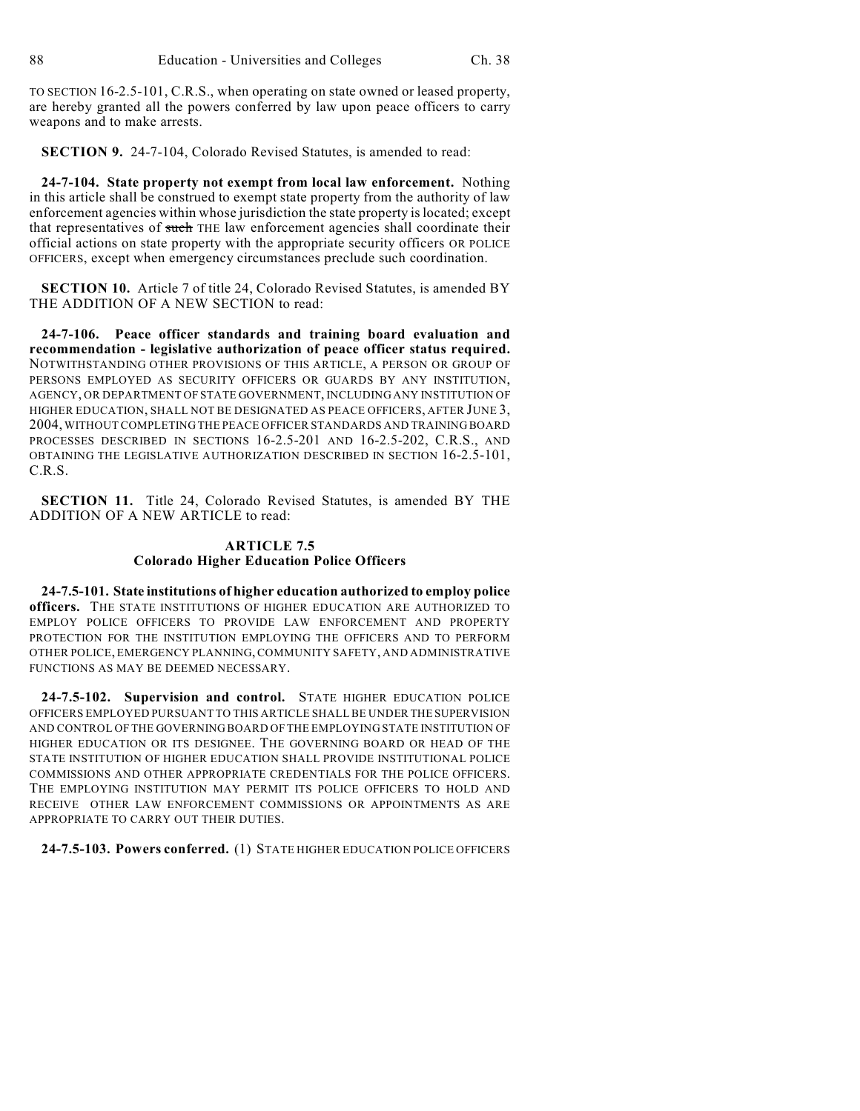TO SECTION 16-2.5-101, C.R.S., when operating on state owned or leased property, are hereby granted all the powers conferred by law upon peace officers to carry weapons and to make arrests.

**SECTION 9.** 24-7-104, Colorado Revised Statutes, is amended to read:

**24-7-104. State property not exempt from local law enforcement.** Nothing in this article shall be construed to exempt state property from the authority of law enforcement agencies within whose jurisdiction the state property is located; except that representatives of such THE law enforcement agencies shall coordinate their official actions on state property with the appropriate security officers OR POLICE OFFICERS, except when emergency circumstances preclude such coordination.

**SECTION 10.** Article 7 of title 24, Colorado Revised Statutes, is amended BY THE ADDITION OF A NEW SECTION to read:

**24-7-106. Peace officer standards and training board evaluation and recommendation - legislative authorization of peace officer status required.** NOTWITHSTANDING OTHER PROVISIONS OF THIS ARTICLE, A PERSON OR GROUP OF PERSONS EMPLOYED AS SECURITY OFFICERS OR GUARDS BY ANY INSTITUTION, AGENCY, OR DEPARTMENT OF STATE GOVERNMENT, INCLUDING ANY INSTITUTION OF HIGHER EDUCATION, SHALL NOT BE DESIGNATED AS PEACE OFFICERS, AFTER JUNE 3, 2004, WITHOUT COMPLETING THE PEACE OFFICER STANDARDS AND TRAINING BOARD PROCESSES DESCRIBED IN SECTIONS 16-2.5-201 AND 16-2.5-202, C.R.S., AND OBTAINING THE LEGISLATIVE AUTHORIZATION DESCRIBED IN SECTION 16-2.5-101, C.R.S.

**SECTION 11.** Title 24, Colorado Revised Statutes, is amended BY THE ADDITION OF A NEW ARTICLE to read:

## **ARTICLE 7.5 Colorado Higher Education Police Officers**

**24-7.5-101. State institutions of higher education authorized to employ police officers.** THE STATE INSTITUTIONS OF HIGHER EDUCATION ARE AUTHORIZED TO EMPLOY POLICE OFFICERS TO PROVIDE LAW ENFORCEMENT AND PROPERTY PROTECTION FOR THE INSTITUTION EMPLOYING THE OFFICERS AND TO PERFORM OTHER POLICE, EMERGENCY PLANNING, COMMUNITY SAFETY, AND ADMINISTRATIVE FUNCTIONS AS MAY BE DEEMED NECESSARY.

**24-7.5-102. Supervision and control.** STATE HIGHER EDUCATION POLICE OFFICERS EMPLOYED PURSUANT TO THIS ARTICLE SHALL BE UNDER THE SUPERVISION AND CONTROL OF THE GOVERNING BOARD OFTHE EMPLOYING STATE INSTITUTION OF HIGHER EDUCATION OR ITS DESIGNEE. THE GOVERNING BOARD OR HEAD OF THE STATE INSTITUTION OF HIGHER EDUCATION SHALL PROVIDE INSTITUTIONAL POLICE COMMISSIONS AND OTHER APPROPRIATE CREDENTIALS FOR THE POLICE OFFICERS. THE EMPLOYING INSTITUTION MAY PERMIT ITS POLICE OFFICERS TO HOLD AND RECEIVE OTHER LAW ENFORCEMENT COMMISSIONS OR APPOINTMENTS AS ARE APPROPRIATE TO CARRY OUT THEIR DUTIES.

**24-7.5-103. Powers conferred.** (1) STATE HIGHER EDUCATION POLICE OFFICERS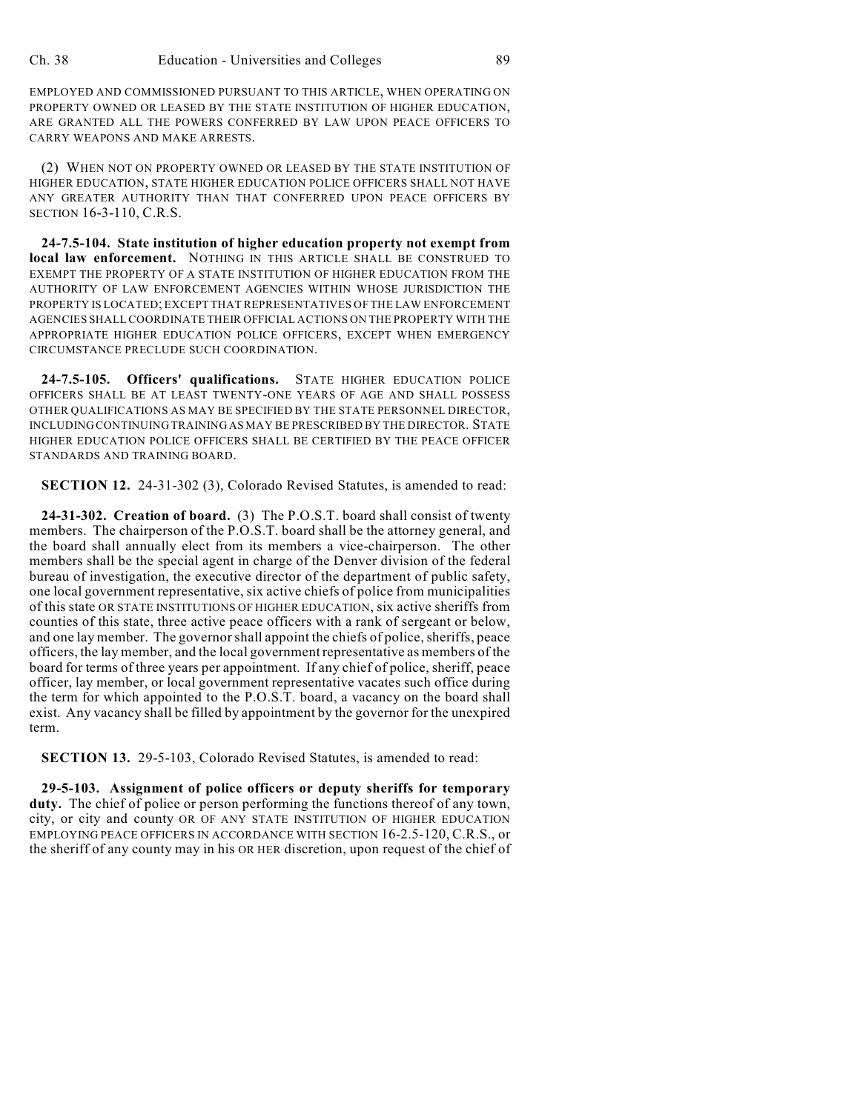EMPLOYED AND COMMISSIONED PURSUANT TO THIS ARTICLE, WHEN OPERATING ON PROPERTY OWNED OR LEASED BY THE STATE INSTITUTION OF HIGHER EDUCATION, ARE GRANTED ALL THE POWERS CONFERRED BY LAW UPON PEACE OFFICERS TO CARRY WEAPONS AND MAKE ARRESTS.

(2) WHEN NOT ON PROPERTY OWNED OR LEASED BY THE STATE INSTITUTION OF HIGHER EDUCATION, STATE HIGHER EDUCATION POLICE OFFICERS SHALL NOT HAVE ANY GREATER AUTHORITY THAN THAT CONFERRED UPON PEACE OFFICERS BY SECTION 16-3-110, C.R.S.

**24-7.5-104. State institution of higher education property not exempt from local law enforcement.** NOTHING IN THIS ARTICLE SHALL BE CONSTRUED TO EXEMPT THE PROPERTY OF A STATE INSTITUTION OF HIGHER EDUCATION FROM THE AUTHORITY OF LAW ENFORCEMENT AGENCIES WITHIN WHOSE JURISDICTION THE PROPERTY IS LOCATED; EXCEPT THAT REPRESENTATIVES OF THE LAW ENFORCEMENT AGENCIES SHALL COORDINATE THEIR OFFICIAL ACTIONS ON THE PROPERTY WITH THE APPROPRIATE HIGHER EDUCATION POLICE OFFICERS, EXCEPT WHEN EMERGENCY CIRCUMSTANCE PRECLUDE SUCH COORDINATION.

**24-7.5-105. Officers' qualifications.** STATE HIGHER EDUCATION POLICE OFFICERS SHALL BE AT LEAST TWENTY-ONE YEARS OF AGE AND SHALL POSSESS OTHER QUALIFICATIONS AS MAY BE SPECIFIED BY THE STATE PERSONNEL DIRECTOR, INCLUDING CONTINUING TRAINING AS MAY BE PRESCRIBED BY THE DIRECTOR. STATE HIGHER EDUCATION POLICE OFFICERS SHALL BE CERTIFIED BY THE PEACE OFFICER STANDARDS AND TRAINING BOARD.

**SECTION 12.** 24-31-302 (3), Colorado Revised Statutes, is amended to read:

**24-31-302. Creation of board.** (3) The P.O.S.T. board shall consist of twenty members. The chairperson of the P.O.S.T. board shall be the attorney general, and the board shall annually elect from its members a vice-chairperson. The other members shall be the special agent in charge of the Denver division of the federal bureau of investigation, the executive director of the department of public safety, one local government representative, six active chiefs of police from municipalities of this state OR STATE INSTITUTIONS OF HIGHER EDUCATION, six active sheriffs from counties of this state, three active peace officers with a rank of sergeant or below, and one lay member. The governor shall appoint the chiefs of police, sheriffs, peace officers, the lay member, and the local governmentrepresentative as members of the board for terms of three years per appointment. If any chief of police, sheriff, peace officer, lay member, or local government representative vacates such office during the term for which appointed to the P.O.S.T. board, a vacancy on the board shall exist. Any vacancy shall be filled by appointment by the governor for the unexpired term.

**SECTION 13.** 29-5-103, Colorado Revised Statutes, is amended to read:

**29-5-103. Assignment of police officers or deputy sheriffs for temporary duty.** The chief of police or person performing the functions thereof of any town, city, or city and county OR OF ANY STATE INSTITUTION OF HIGHER EDUCATION EMPLOYING PEACE OFFICERS IN ACCORDANCE WITH SECTION 16-2.5-120, C.R.S., or the sheriff of any county may in his OR HER discretion, upon request of the chief of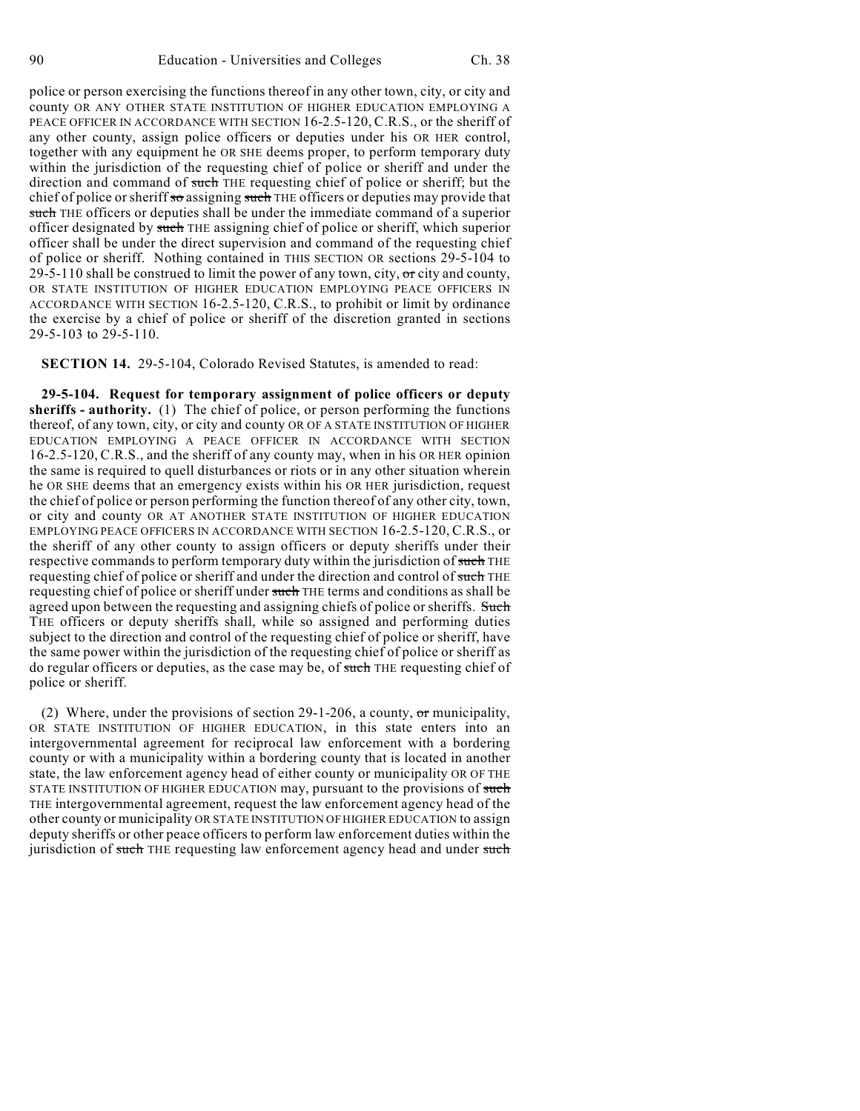police or person exercising the functions thereof in any other town, city, or city and county OR ANY OTHER STATE INSTITUTION OF HIGHER EDUCATION EMPLOYING A PEACE OFFICER IN ACCORDANCE WITH SECTION 16-2.5-120, C.R.S., or the sheriff of any other county, assign police officers or deputies under his OR HER control, together with any equipment he OR SHE deems proper, to perform temporary duty within the jurisdiction of the requesting chief of police or sheriff and under the direction and command of such THE requesting chief of police or sheriff; but the chief of police or sheriff so assigning such THE officers or deputies may provide that such THE officers or deputies shall be under the immediate command of a superior officer designated by such THE assigning chief of police or sheriff, which superior officer shall be under the direct supervision and command of the requesting chief of police or sheriff. Nothing contained in THIS SECTION OR sections 29-5-104 to 29-5-110 shall be construed to limit the power of any town, city,  $\sigma r$  city and county, OR STATE INSTITUTION OF HIGHER EDUCATION EMPLOYING PEACE OFFICERS IN ACCORDANCE WITH SECTION 16-2.5-120, C.R.S., to prohibit or limit by ordinance the exercise by a chief of police or sheriff of the discretion granted in sections 29-5-103 to 29-5-110.

**SECTION 14.** 29-5-104, Colorado Revised Statutes, is amended to read:

**29-5-104. Request for temporary assignment of police officers or deputy sheriffs - authority.** (1) The chief of police, or person performing the functions thereof, of any town, city, or city and county OR OF A STATE INSTITUTION OF HIGHER EDUCATION EMPLOYING A PEACE OFFICER IN ACCORDANCE WITH SECTION 16-2.5-120, C.R.S., and the sheriff of any county may, when in his OR HER opinion the same is required to quell disturbances or riots or in any other situation wherein he OR SHE deems that an emergency exists within his OR HER jurisdiction, request the chief of police or person performing the function thereof of any other city, town, or city and county OR AT ANOTHER STATE INSTITUTION OF HIGHER EDUCATION EMPLOYING PEACE OFFICERS IN ACCORDANCE WITH SECTION 16-2.5-120, C.R.S., or the sheriff of any other county to assign officers or deputy sheriffs under their respective commands to perform temporary duty within the jurisdiction of such THE requesting chief of police or sheriff and under the direction and control of such THE requesting chief of police or sheriff under such THE terms and conditions as shall be agreed upon between the requesting and assigning chiefs of police or sheriffs. Such THE officers or deputy sheriffs shall, while so assigned and performing duties subject to the direction and control of the requesting chief of police or sheriff, have the same power within the jurisdiction of the requesting chief of police or sheriff as do regular officers or deputies, as the case may be, of such THE requesting chief of police or sheriff.

(2) Where, under the provisions of section 29-1-206, a county, or municipality, OR STATE INSTITUTION OF HIGHER EDUCATION, in this state enters into an intergovernmental agreement for reciprocal law enforcement with a bordering county or with a municipality within a bordering county that is located in another state, the law enforcement agency head of either county or municipality OR OF THE STATE INSTITUTION OF HIGHER EDUCATION may, pursuant to the provisions of such THE intergovernmental agreement, request the law enforcement agency head of the other county or municipality OR STATE INSTITUTION OF HIGHER EDUCATION to assign deputy sheriffs or other peace officers to perform law enforcement duties within the jurisdiction of such THE requesting law enforcement agency head and under such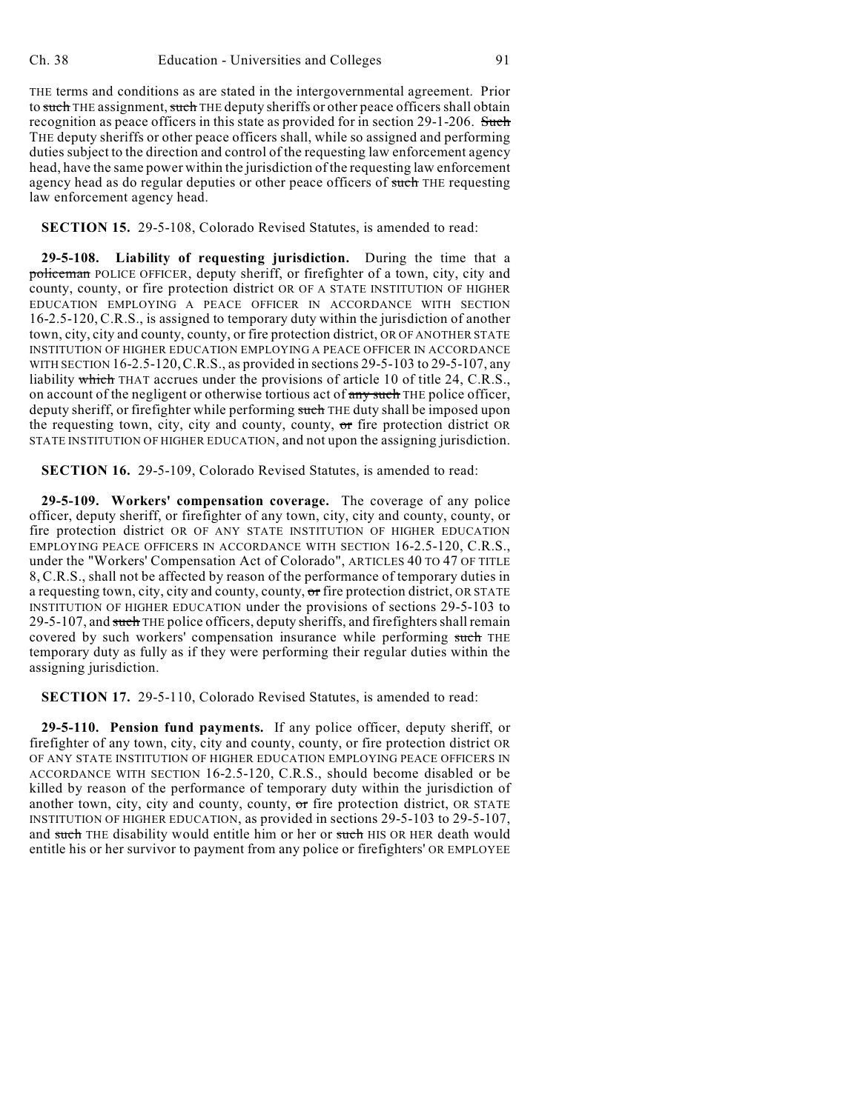THE terms and conditions as are stated in the intergovernmental agreement. Prior to such THE assignment, such THE deputy sheriffs or other peace officers shall obtain recognition as peace officers in this state as provided for in section 29-1-206. Such THE deputy sheriffs or other peace officers shall, while so assigned and performing duties subject to the direction and control of the requesting law enforcement agency head, have the same power within the jurisdiction of the requesting law enforcement agency head as do regular deputies or other peace officers of such THE requesting law enforcement agency head.

## **SECTION 15.** 29-5-108, Colorado Revised Statutes, is amended to read:

**29-5-108. Liability of requesting jurisdiction.** During the time that a policeman POLICE OFFICER, deputy sheriff, or firefighter of a town, city, city and county, county, or fire protection district OR OF A STATE INSTITUTION OF HIGHER EDUCATION EMPLOYING A PEACE OFFICER IN ACCORDANCE WITH SECTION 16-2.5-120, C.R.S., is assigned to temporary duty within the jurisdiction of another town, city, city and county, county, or fire protection district, OR OF ANOTHER STATE INSTITUTION OF HIGHER EDUCATION EMPLOYING A PEACE OFFICER IN ACCORDANCE WITH SECTION 16-2.5-120,C.R.S., as provided in sections 29-5-103 to 29-5-107, any liability which THAT accrues under the provisions of article 10 of title 24, C.R.S., on account of the negligent or otherwise tortious act of any such THE police officer, deputy sheriff, or firefighter while performing such THE duty shall be imposed upon the requesting town, city, city and county, county,  $\sigma$  fire protection district OR STATE INSTITUTION OF HIGHER EDUCATION, and not upon the assigning jurisdiction.

**SECTION 16.** 29-5-109, Colorado Revised Statutes, is amended to read:

**29-5-109. Workers' compensation coverage.** The coverage of any police officer, deputy sheriff, or firefighter of any town, city, city and county, county, or fire protection district OR OF ANY STATE INSTITUTION OF HIGHER EDUCATION EMPLOYING PEACE OFFICERS IN ACCORDANCE WITH SECTION 16-2.5-120, C.R.S., under the "Workers' Compensation Act of Colorado", ARTICLES 40 TO 47 OF TITLE 8, C.R.S., shall not be affected by reason of the performance of temporary duties in a requesting town, city, city and county, county, or fire protection district, OR STATE INSTITUTION OF HIGHER EDUCATION under the provisions of sections 29-5-103 to 29-5-107, and such THE police officers, deputy sheriffs, and firefighters shall remain covered by such workers' compensation insurance while performing such THE temporary duty as fully as if they were performing their regular duties within the assigning jurisdiction.

**SECTION 17.** 29-5-110, Colorado Revised Statutes, is amended to read:

**29-5-110. Pension fund payments.** If any police officer, deputy sheriff, or firefighter of any town, city, city and county, county, or fire protection district OR OF ANY STATE INSTITUTION OF HIGHER EDUCATION EMPLOYING PEACE OFFICERS IN ACCORDANCE WITH SECTION 16-2.5-120, C.R.S., should become disabled or be killed by reason of the performance of temporary duty within the jurisdiction of another town, city, city and county, county,  $\sigma$ r fire protection district, OR STATE INSTITUTION OF HIGHER EDUCATION, as provided in sections 29-5-103 to 29-5-107, and such THE disability would entitle him or her or such HIS OR HER death would entitle his or her survivor to payment from any police or firefighters' OR EMPLOYEE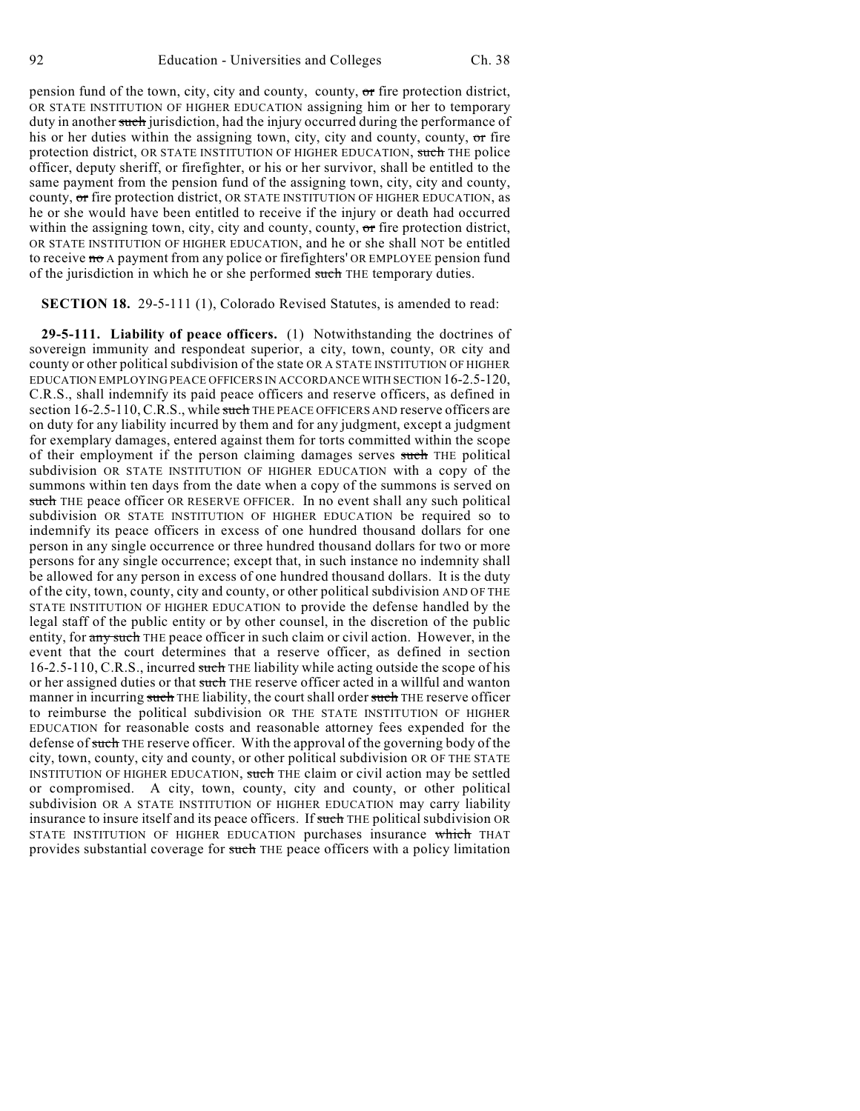pension fund of the town, city, city and county, county,  $\sigma$  fire protection district, OR STATE INSTITUTION OF HIGHER EDUCATION assigning him or her to temporary duty in another such jurisdiction, had the injury occurred during the performance of his or her duties within the assigning town, city, city and county, county,  $\sigma$  fire protection district, OR STATE INSTITUTION OF HIGHER EDUCATION, such THE police officer, deputy sheriff, or firefighter, or his or her survivor, shall be entitled to the same payment from the pension fund of the assigning town, city, city and county, county, or fire protection district, OR STATE INSTITUTION OF HIGHER EDUCATION, as he or she would have been entitled to receive if the injury or death had occurred within the assigning town, city, city and county, county,  $\sigma$  fire protection district, OR STATE INSTITUTION OF HIGHER EDUCATION, and he or she shall NOT be entitled to receive  $\overline{m}$  A payment from any police or firefighters' OR EMPLOYEE pension fund of the jurisdiction in which he or she performed such THE temporary duties.

**SECTION 18.** 29-5-111 (1), Colorado Revised Statutes, is amended to read:

**29-5-111. Liability of peace officers.** (1) Notwithstanding the doctrines of sovereign immunity and respondeat superior, a city, town, county, OR city and county or other political subdivision of the state OR A STATE INSTITUTION OF HIGHER EDUCATION EMPLOYING PEACE OFFICERS IN ACCORDANCE WITH SECTION 16-2.5-120, C.R.S., shall indemnify its paid peace officers and reserve officers, as defined in section 16-2.5-110, C.R.S., while such THE PEACE OFFICERS AND reserve officers are on duty for any liability incurred by them and for any judgment, except a judgment for exemplary damages, entered against them for torts committed within the scope of their employment if the person claiming damages serves such THE political subdivision OR STATE INSTITUTION OF HIGHER EDUCATION with a copy of the summons within ten days from the date when a copy of the summons is served on such THE peace officer OR RESERVE OFFICER. In no event shall any such political subdivision OR STATE INSTITUTION OF HIGHER EDUCATION be required so to indemnify its peace officers in excess of one hundred thousand dollars for one person in any single occurrence or three hundred thousand dollars for two or more persons for any single occurrence; except that, in such instance no indemnity shall be allowed for any person in excess of one hundred thousand dollars. It is the duty of the city, town, county, city and county, or other political subdivision AND OF THE STATE INSTITUTION OF HIGHER EDUCATION to provide the defense handled by the legal staff of the public entity or by other counsel, in the discretion of the public entity, for any such THE peace officer in such claim or civil action. However, in the event that the court determines that a reserve officer, as defined in section 16-2.5-110, C.R.S., incurred such THE liability while acting outside the scope of his or her assigned duties or that such THE reserve officer acted in a willful and wanton manner in incurring such THE liability, the court shall order such THE reserve officer to reimburse the political subdivision OR THE STATE INSTITUTION OF HIGHER EDUCATION for reasonable costs and reasonable attorney fees expended for the defense of such THE reserve officer. With the approval of the governing body of the city, town, county, city and county, or other political subdivision OR OF THE STATE INSTITUTION OF HIGHER EDUCATION, such THE claim or civil action may be settled or compromised. A city, town, county, city and county, or other political subdivision OR A STATE INSTITUTION OF HIGHER EDUCATION may carry liability insurance to insure itself and its peace officers. If such THE political subdivision OR STATE INSTITUTION OF HIGHER EDUCATION purchases insurance which THAT provides substantial coverage for such THE peace officers with a policy limitation